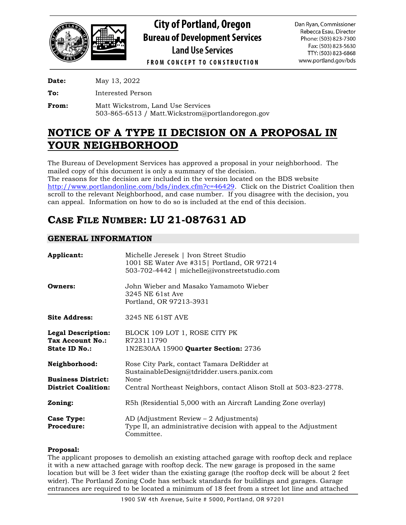

**City of Portland, Oregon Bureau of Development Services Land Use Services** 

Dan Ryan, Commissioner Rebecca Esau, Director Phone: (503) 823-7300 Fax: (503) 823-5630 TTY: (503) 823-6868 www.portland.gov/bds

**FROM CONCEPT TO CONSTRUCTION** 

**Date:** May 13, 2022

**To:** Interested Person

**From:** Matt Wickstrom, Land Use Services 503-865-6513 / Matt.Wickstrom@portlandoregon.gov

# **NOTICE OF A TYPE II DECISION ON A PROPOSAL IN YOUR NEIGHBORHOOD**

The Bureau of Development Services has approved a proposal in your neighborhood. The mailed copy of this document is only a summary of the decision. The reasons for the decision are included in the version located on the BDS website [http://www.portlandonline.com/bds/index.cfm?c=46429.](http://www.portlandonline.com/bds/index.cfm?c=46429) Click on the District Coalition then scroll to the relevant Neighborhood, and case number. If you disagree with the decision, you can appeal. Information on how to do so is included at the end of this decision.

# **CASE FILE NUMBER: LU 21-087631 AD**

# **GENERAL INFORMATION**

| Applicant:                                                            | Michelle Jeresek   Ivon Street Studio<br>1001 SE Water Ave #315   Portland, OR 97214<br>503-702-4442   michelle@ivonstreetstudio.com |
|-----------------------------------------------------------------------|--------------------------------------------------------------------------------------------------------------------------------------|
| Owners:                                                               | John Wieber and Masako Yamamoto Wieber<br>3245 NE 61st Ave<br>Portland, OR 97213-3931                                                |
| <b>Site Address:</b>                                                  | 3245 NE 61ST AVE                                                                                                                     |
| <b>Legal Description:</b><br>Tax Account No.:<br><b>State ID No.:</b> | BLOCK 109 LOT 1, ROSE CITY PK<br>R723111790<br>1N2E30AA 15900 Quarter Section: 2736                                                  |
| Neighborhood:                                                         | Rose City Park, contact Tamara DeRidder at<br>SustainableDesign@tdridder.users.panix.com                                             |
| <b>Business District:</b><br><b>District Coalition:</b>               | None<br>Central Northeast Neighbors, contact Alison Stoll at 503-823-2778.                                                           |
| Zoning:                                                               | R5h (Residential 5,000 with an Aircraft Landing Zone overlay)                                                                        |
| Case Type:<br>Procedure:                                              | AD (Adjustment Review $-2$ Adjustments)<br>Type II, an administrative decision with appeal to the Adjustment<br>Committee.           |

## **Proposal:**

The applicant proposes to demolish an existing attached garage with rooftop deck and replace it with a new attached garage with rooftop deck. The new garage is proposed in the same location but will be 3 feet wider than the existing garage (the rooftop deck will be about 2 feet wider). The Portland Zoning Code has setback standards for buildings and garages. Garage entrances are required to be located a minimum of 18 feet from a street lot line and attached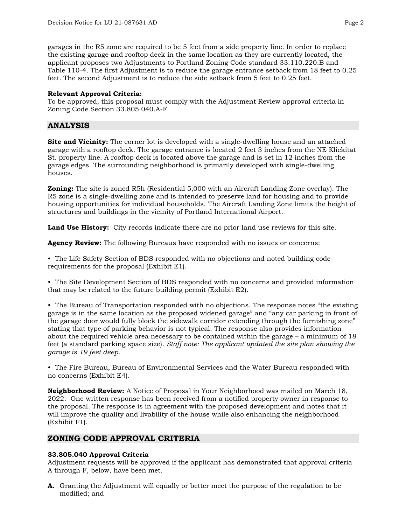garages in the R5 zone are required to be 5 feet from a side property line. In order to replace the existing garage and rooftop deck in the same location as they are currently located, the applicant proposes two Adjustments to Portland Zoning Code standard 33.110.220.B and Table 110-4. The first Adjustment is to reduce the garage entrance setback from 18 feet to 0.25 feet. The second Adjustment is to reduce the side setback from 5 feet to 0.25 feet.

#### **Relevant Approval Criteria:**

To be approved, this proposal must comply with the Adjustment Review approval criteria in Zoning Code Section 33.805.040.A-F.

## **ANALYSIS**

**Site and Vicinity:** The corner lot is developed with a single-dwelling house and an attached garage with a rooftop deck. The garage entrance is located 2 feet 3 inches from the NE Klickitat St. property line. A rooftop deck is located above the garage and is set in 12 inches from the garage edges. The surrounding neighborhood is primarily developed with single-dwelling houses.

**Zoning:** The site is zoned R5h (Residential 5,000 with an Aircraft Landing Zone overlay). The R5 zone is a single-dwelling zone and is intended to preserve land for housing and to provide housing opportunities for individual households. The Aircraft Landing Zone limits the height of structures and buildings in the vicinity of Portland International Airport.

**Land Use History:** City records indicate there are no prior land use reviews for this site.

**Agency Review:** The following Bureaus have responded with no issues or concerns:

• The Life Safety Section of BDS responded with no objections and noted building code requirements for the proposal (Exhibit E1).

• The Site Development Section of BDS responded with no concerns and provided information that may be related to the future building permit (Exhibit E2).

• The Bureau of Transportation responded with no objections. The response notes "the existing garage is in the same location as the proposed widened garage" and "any car parking in front of the garage door would fully block the sidewalk corridor extending through the furnishing zone" stating that type of parking behavior is not typical. The response also provides information about the required vehicle area necessary to be contained within the garage – a minimum of 18 feet (a standard parking space size). *Staff note: The applicant updated the site plan showing the garage is 19 feet deep.*

• The Fire Bureau, Bureau of Environmental Services and the Water Bureau responded with no concerns (Exhibit E4).

**Neighborhood Review:** A Notice of Proposal in Your Neighborhood was mailed on March 18, 2022. One written response has been received from a notified property owner in response to the proposal. The response is in agreement with the proposed development and notes that it will improve the quality and livability of the house while also enhancing the neighborhood (Exhibit F1).

## **ZONING CODE APPROVAL CRITERIA**

## **33.805.040 Approval Criteria**

Adjustment requests will be approved if the applicant has demonstrated that approval criteria A through F, below, have been met.

**A.** Granting the Adjustment will equally or better meet the purpose of the regulation to be modified; and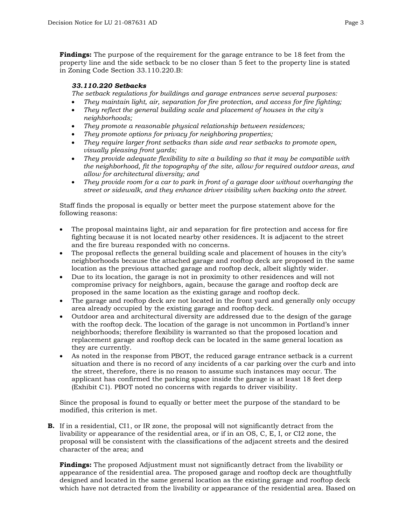**Findings:** The purpose of the requirement for the garage entrance to be 18 feet from the property line and the side setback to be no closer than 5 feet to the property line is stated in Zoning Code Section 33.110.220.B:

#### *33.110.220 Setbacks*

*The setback regulations for buildings and garage entrances serve several purposes:*

- *They maintain light, air, separation for fire protection, and access for fire fighting;*
- *They reflect the general building scale and placement of houses in the city's neighborhoods;*
- *They promote a reasonable physical relationship between residences;*
- *They promote options for privacy for neighboring properties;*
- *They require larger front setbacks than side and rear setbacks to promote open, visually pleasing front yards;*
- *They provide adequate flexibility to site a building so that it may be compatible with the neighborhood, fit the topography of the site, allow for required outdoor areas, and allow for architectural diversity; and*
- *They provide room for a car to park in front of a garage door without overhanging the street or sidewalk, and they enhance driver visibility when backing onto the street.*

Staff finds the proposal is equally or better meet the purpose statement above for the following reasons:

- The proposal maintains light, air and separation for fire protection and access for fire fighting because it is not located nearby other residences. It is adjacent to the street and the fire bureau responded with no concerns.
- The proposal reflects the general building scale and placement of houses in the city's neighborhoods because the attached garage and rooftop deck are proposed in the same location as the previous attached garage and rooftop deck, albeit slightly wider.
- Due to its location, the garage is not in proximity to other residences and will not compromise privacy for neighbors, again, because the garage and rooftop deck are proposed in the same location as the existing garage and rooftop deck.
- The garage and rooftop deck are not located in the front yard and generally only occupy area already occupied by the existing garage and rooftop deck.
- Outdoor area and architectural diversity are addressed due to the design of the garage with the rooftop deck. The location of the garage is not uncommon in Portland's inner neighborhoods; therefore flexibility is warranted so that the proposed location and replacement garage and rooftop deck can be located in the same general location as they are currently.
- As noted in the response from PBOT, the reduced garage entrance setback is a current situation and there is no record of any incidents of a car parking over the curb and into the street, therefore, there is no reason to assume such instances may occur. The applicant has confirmed the parking space inside the garage is at least 18 feet deep (Exhibit C1). PBOT noted no concerns with regards to driver visibility.

Since the proposal is found to equally or better meet the purpose of the standard to be modified, this criterion is met.

**B.** If in a residential, CI1, or IR zone, the proposal will not significantly detract from the livability or appearance of the residential area, or if in an OS, C, E, I, or CI2 zone, the proposal will be consistent with the classifications of the adjacent streets and the desired character of the area; and

**Findings:** The proposed Adjustment must not significantly detract from the livability or appearance of the residential area. The proposed garage and rooftop deck are thoughtfully designed and located in the same general location as the existing garage and rooftop deck which have not detracted from the livability or appearance of the residential area. Based on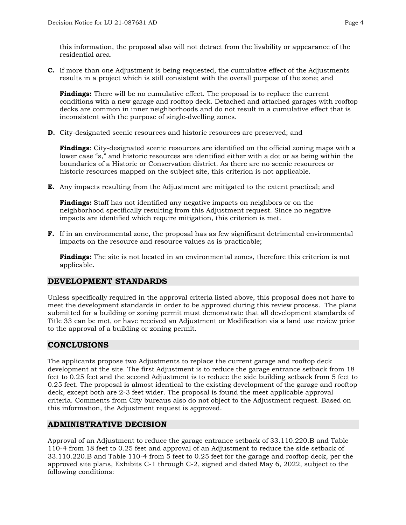this information, the proposal also will not detract from the livability or appearance of the residential area.

**C.** If more than one Adjustment is being requested, the cumulative effect of the Adjustments results in a project which is still consistent with the overall purpose of the zone; and

**Findings:** There will be no cumulative effect. The proposal is to replace the current conditions with a new garage and rooftop deck. Detached and attached garages with rooftop decks are common in inner neighborhoods and do not result in a cumulative effect that is inconsistent with the purpose of single-dwelling zones.

**D.** City-designated scenic resources and historic resources are preserved; and

**Findings**: City-designated scenic resources are identified on the official zoning maps with a lower case "s," and historic resources are identified either with a dot or as being within the boundaries of a Historic or Conservation district. As there are no scenic resources or historic resources mapped on the subject site, this criterion is not applicable.

**E.** Any impacts resulting from the Adjustment are mitigated to the extent practical; and

**Findings:** Staff has not identified any negative impacts on neighbors or on the neighborhood specifically resulting from this Adjustment request. Since no negative impacts are identified which require mitigation, this criterion is met.

**F.** If in an environmental zone, the proposal has as few significant detrimental environmental impacts on the resource and resource values as is practicable;

**Findings:** The site is not located in an environmental zones, therefore this criterion is not applicable.

## **DEVELOPMENT STANDARDS**

Unless specifically required in the approval criteria listed above, this proposal does not have to meet the development standards in order to be approved during this review process. The plans submitted for a building or zoning permit must demonstrate that all development standards of Title 33 can be met, or have received an Adjustment or Modification via a land use review prior to the approval of a building or zoning permit.

## **CONCLUSIONS**

The applicants propose two Adjustments to replace the current garage and rooftop deck development at the site. The first Adjustment is to reduce the garage entrance setback from 18 feet to 0.25 feet and the second Adjustment is to reduce the side building setback from 5 feet to 0.25 feet. The proposal is almost identical to the existing development of the garage and rooftop deck, except both are 2-3 feet wider. The proposal is found the meet applicable approval criteria. Comments from City bureaus also do not object to the Adjustment request. Based on this information, the Adjustment request is approved.

## **ADMINISTRATIVE DECISION**

Approval of an Adjustment to reduce the garage entrance setback of 33.110.220.B and Table 110-4 from 18 feet to 0.25 feet and approval of an Adjustment to reduce the side setback of 33.110.220.B and Table 110-4 from 5 feet to 0.25 feet for the garage and rooftop deck, per the approved site plans, Exhibits C-1 through C-2, signed and dated May 6, 2022, subject to the following conditions: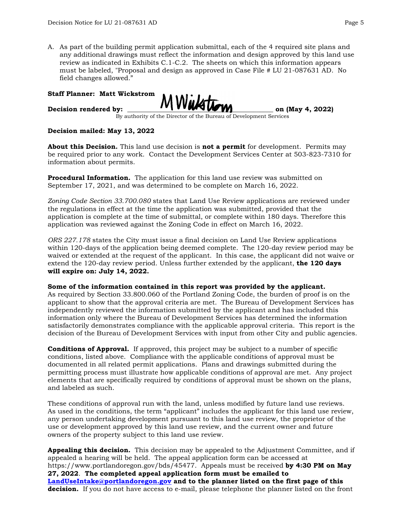A. As part of the building permit application submittal, each of the 4 required site plans and any additional drawings must reflect the information and design approved by this land use review as indicated in Exhibits C.1-C.2. The sheets on which this information appears must be labeled, "Proposal and design as approved in Case File # LU 21-087631 AD. No field changes allowed."

#### **Staff Planner: Matt Wickstrom**

Decision rendered by:  $MWM$ 

By authority of the Director of the Bureau of Development Services

#### **Decision mailed: May 13, 2022**

**About this Decision.** This land use decision is **not a permit** for development. Permits may be required prior to any work. Contact the Development Services Center at 503-823-7310 for information about permits.

**Procedural Information.** The application for this land use review was submitted on September 17, 2021, and was determined to be complete on March 16, 2022.

*Zoning Code Section 33.700.080* states that Land Use Review applications are reviewed under the regulations in effect at the time the application was submitted, provided that the application is complete at the time of submittal, or complete within 180 days. Therefore this application was reviewed against the Zoning Code in effect on March 16, 2022.

*ORS 227.178* states the City must issue a final decision on Land Use Review applications within 120-days of the application being deemed complete. The 120-day review period may be waived or extended at the request of the applicant. In this case, the applicant did not waive or extend the 120-day review period. Unless further extended by the applicant, **the 120 days will expire on: July 14, 2022.**

#### **Some of the information contained in this report was provided by the applicant.**

As required by Section 33.800.060 of the Portland Zoning Code, the burden of proof is on the applicant to show that the approval criteria are met. The Bureau of Development Services has independently reviewed the information submitted by the applicant and has included this information only where the Bureau of Development Services has determined the information satisfactorily demonstrates compliance with the applicable approval criteria. This report is the decision of the Bureau of Development Services with input from other City and public agencies.

**Conditions of Approval.** If approved, this project may be subject to a number of specific conditions, listed above. Compliance with the applicable conditions of approval must be documented in all related permit applications. Plans and drawings submitted during the permitting process must illustrate how applicable conditions of approval are met. Any project elements that are specifically required by conditions of approval must be shown on the plans, and labeled as such.

These conditions of approval run with the land, unless modified by future land use reviews. As used in the conditions, the term "applicant" includes the applicant for this land use review, any person undertaking development pursuant to this land use review, the proprietor of the use or development approved by this land use review, and the current owner and future owners of the property subject to this land use review.

**Appealing this decision.** This decision may be appealed to the Adjustment Committee, and if appealed a hearing will be held. The appeal application form can be accessed at https://www.portlandoregon.gov/bds/45477. Appeals must be received **by 4:30 PM on May 27, 2022**. **The completed appeal application form must be emailed to [LandUseIntake@portlandoregon.gov](mailto:LandUseIntake@portlandoregon.gov) and to the planner listed on the first page of this decision.** If you do not have access to e-mail, please telephone the planner listed on the front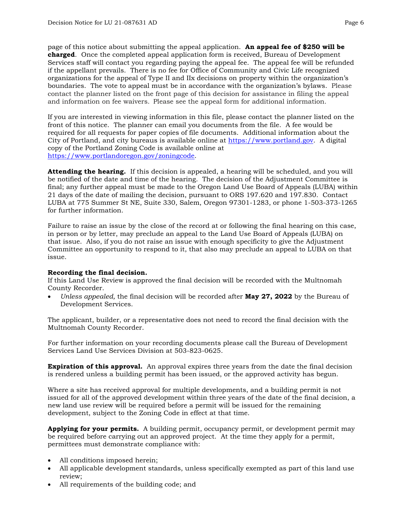page of this notice about submitting the appeal application. **An appeal fee of \$250 will be charged**. Once the completed appeal application form is received, Bureau of Development Services staff will contact you regarding paying the appeal fee. The appeal fee will be refunded if the appellant prevails. There is no fee for Office of Community and Civic Life recognized organizations for the appeal of Type II and IIx decisions on property within the organization's boundaries. The vote to appeal must be in accordance with the organization's bylaws. Please contact the planner listed on the front page of this decision for assistance in filing the appeal and information on fee waivers. Please see the appeal form for additional information.

If you are interested in viewing information in this file, please contact the planner listed on the front of this notice. The planner can email you documents from the file. A fee would be required for all requests for paper copies of file documents. Additional information about the City of Portland, and city bureaus is available online at [https://www.portland.gov.](https://www.portland.gov/) A digital copy of the Portland Zoning Code is available online at [https://www.portlandoregon.gov/zoningcode.](https://www.portlandoregon.gov/zoningcode)

**Attending the hearing.** If this decision is appealed, a hearing will be scheduled, and you will be notified of the date and time of the hearing. The decision of the Adjustment Committee is final; any further appeal must be made to the Oregon Land Use Board of Appeals (LUBA) within 21 days of the date of mailing the decision, pursuant to ORS 197.620 and 197.830. Contact LUBA at 775 Summer St NE, Suite 330, Salem, Oregon 97301-1283, or phone 1-503-373-1265 for further information.

Failure to raise an issue by the close of the record at or following the final hearing on this case, in person or by letter, may preclude an appeal to the Land Use Board of Appeals (LUBA) on that issue. Also, if you do not raise an issue with enough specificity to give the Adjustment Committee an opportunity to respond to it, that also may preclude an appeal to LUBA on that issue.

#### **Recording the final decision.**

If this Land Use Review is approved the final decision will be recorded with the Multnomah County Recorder.

• *Unless appealed,* the final decision will be recorded after **May 27, 2022** by the Bureau of Development Services.

The applicant, builder, or a representative does not need to record the final decision with the Multnomah County Recorder.

For further information on your recording documents please call the Bureau of Development Services Land Use Services Division at 503-823-0625.

**Expiration of this approval.** An approval expires three years from the date the final decision is rendered unless a building permit has been issued, or the approved activity has begun.

Where a site has received approval for multiple developments, and a building permit is not issued for all of the approved development within three years of the date of the final decision, a new land use review will be required before a permit will be issued for the remaining development, subject to the Zoning Code in effect at that time.

**Applying for your permits.** A building permit, occupancy permit, or development permit may be required before carrying out an approved project. At the time they apply for a permit, permittees must demonstrate compliance with:

- All conditions imposed herein;
- All applicable development standards, unless specifically exempted as part of this land use review;
- All requirements of the building code; and